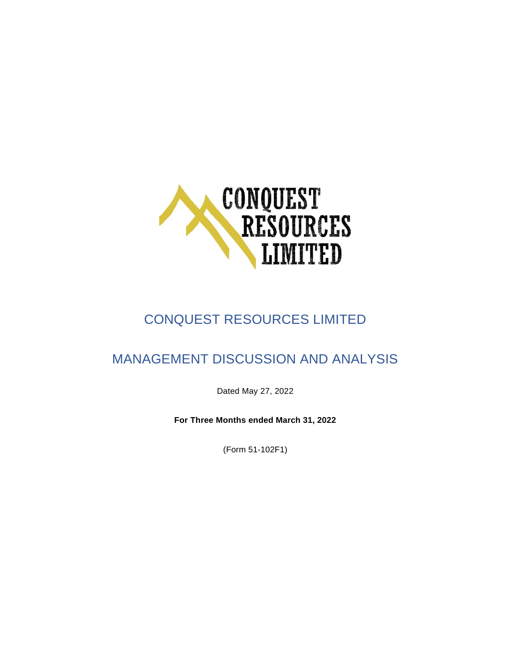

# CONQUEST RESOURCES LIMITED

## MANAGEMENT DISCUSSION AND ANALYSIS

Dated May 27, 2022

**For Three Months ended March 31, 2022**

(Form 51-102F1)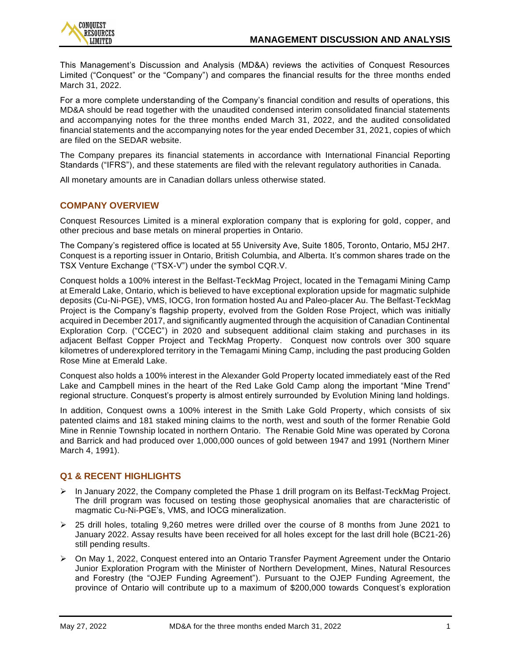

This Management's Discussion and Analysis (MD&A) reviews the activities of Conquest Resources Limited ("Conquest" or the "Company") and compares the financial results for the three months ended March 31, 2022.

For a more complete understanding of the Company's financial condition and results of operations, this MD&A should be read together with the unaudited condensed interim consolidated financial statements and accompanying notes for the three months ended March 31, 2022, and the audited consolidated financial statements and the accompanying notes for the year ended December 31, 2021, copies of which are filed on the SEDAR website.

The Company prepares its financial statements in accordance with International Financial Reporting Standards ("IFRS"), and these statements are filed with the relevant regulatory authorities in Canada.

All monetary amounts are in Canadian dollars unless otherwise stated.

## **COMPANY OVERVIEW**

Conquest Resources Limited is a mineral exploration company that is exploring for gold, copper, and other precious and base metals on mineral properties in Ontario.

The Company's registered office is located at 55 University Ave, Suite 1805, Toronto, Ontario, M5J 2H7. Conquest is a reporting issuer in Ontario, British Columbia, and Alberta. It's common shares trade on the TSX Venture Exchange ("TSX-V") under the symbol CQR.V.

Conquest holds a 100% interest in the Belfast-TeckMag Project, located in the Temagami Mining Camp at Emerald Lake, Ontario, which is believed to have exceptional exploration upside for magmatic sulphide deposits (Cu-Ni-PGE), VMS, IOCG, Iron formation hosted Au and Paleo-placer Au. The Belfast-TeckMag Project is the Company's flagship property, evolved from the Golden Rose Project, which was initially acquired in December 2017, and significantly augmented through the acquisition of Canadian Continental Exploration Corp. ("CCEC") in 2020 and subsequent additional claim staking and purchases in its adjacent Belfast Copper Project and TeckMag Property. Conquest now controls over 300 square kilometres of underexplored territory in the Temagami Mining Camp, including the past producing Golden Rose Mine at Emerald Lake.

Conquest also holds a 100% interest in the Alexander Gold Property located immediately east of the Red Lake and Campbell mines in the heart of the Red Lake Gold Camp along the important "Mine Trend" regional structure. Conquest's property is almost entirely surrounded by Evolution Mining land holdings.

In addition, Conquest owns a 100% interest in the Smith Lake Gold Property, which consists of six patented claims and 181 staked mining claims to the north, west and south of the former Renabie Gold Mine in Rennie Township located in northern Ontario. The Renabie Gold Mine was operated by Corona and Barrick and had produced over 1,000,000 ounces of gold between 1947 and 1991 (Northern Miner March 4, 1991).

## **Q1 & RECENT HIGHLIGHTS**

- $\triangleright$  In January 2022, the Company completed the Phase 1 drill program on its Belfast-TeckMag Project. The drill program was focused on testing those geophysical anomalies that are characteristic of magmatic Cu-Ni-PGE's, VMS, and IOCG mineralization.
- $\geq$  25 drill holes, totaling 9,260 metres were drilled over the course of 8 months from June 2021 to January 2022. Assay results have been received for all holes except for the last drill hole (BC21-26) still pending results.
- ➢ On May 1, 2022, Conquest entered into an Ontario Transfer Payment Agreement under the Ontario Junior Exploration Program with the Minister of Northern Development, Mines, Natural Resources and Forestry (the "OJEP Funding Agreement"). Pursuant to the OJEP Funding Agreement, the province of Ontario will contribute up to a maximum of \$200,000 towards Conquest's exploration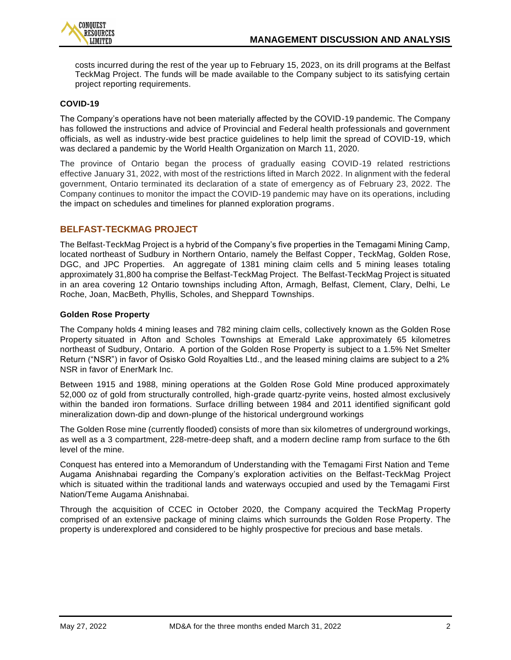

costs incurred during the rest of the year up to February 15, 2023, on its drill programs at the Belfast TeckMag Project. The funds will be made available to the Company subject to its satisfying certain project reporting requirements.

#### **COVID-19**

The Company's operations have not been materially affected by the COVID-19 pandemic. The Company has followed the instructions and advice of Provincial and Federal health professionals and government officials, as well as industry-wide best practice guidelines to help limit the spread of COVID-19, which was declared a pandemic by the World Health Organization on March 11, 2020.

The province of Ontario began the process of gradually easing COVID-19 related restrictions effective January 31, 2022, with most of the restrictions lifted in March 2022. In alignment with the federal government, Ontario terminated its declaration of a state of emergency as of February 23, 2022. The Company continues to monitor the impact the COVID-19 pandemic may have on its operations, including the impact on schedules and timelines for planned exploration programs.

## **BELFAST-TECKMAG PROJECT**

The Belfast-TeckMag Project is a hybrid of the Company's five properties in the Temagami Mining Camp, located northeast of Sudbury in Northern Ontario, namely the Belfast Copper, TeckMag, Golden Rose, DGC, and JPC Properties. An aggregate of 1381 mining claim cells and 5 mining leases totaling approximately 31,800 ha comprise the Belfast-TeckMag Project. The Belfast-TeckMag Project is situated in an area covering 12 Ontario townships including Afton, Armagh, Belfast, Clement, Clary, Delhi, Le Roche, Joan, MacBeth, Phyllis, Scholes, and Sheppard Townships.

#### **Golden Rose Property**

The Company holds 4 mining leases and 782 mining claim cells, collectively known as the Golden Rose Property situated in Afton and Scholes Townships at Emerald Lake approximately 65 kilometres northeast of Sudbury, Ontario. A portion of the Golden Rose Property is subject to a 1.5% Net Smelter Return ("NSR") in favor of Osisko Gold Royalties Ltd., and the leased mining claims are subject to a 2% NSR in favor of EnerMark Inc.

Between 1915 and 1988, mining operations at the Golden Rose Gold Mine produced approximately 52,000 oz of gold from structurally controlled, high-grade quartz-pyrite veins, hosted almost exclusively within the banded iron formations. Surface drilling between 1984 and 2011 identified significant gold mineralization down-dip and down-plunge of the historical underground workings

The Golden Rose mine (currently flooded) consists of more than six kilometres of underground workings, as well as a 3 compartment, 228-metre-deep shaft, and a modern decline ramp from surface to the 6th level of the mine.

Conquest has entered into a Memorandum of Understanding with the Temagami First Nation and Teme Augama Anishnabai regarding the Company's exploration activities on the Belfast-TeckMag Project which is situated within the traditional lands and waterways occupied and used by the Temagami First Nation/Teme Augama Anishnabai.

Through the acquisition of CCEC in October 2020, the Company acquired the TeckMag Property comprised of an extensive package of mining claims which surrounds the Golden Rose Property. The property is underexplored and considered to be highly prospective for precious and base metals.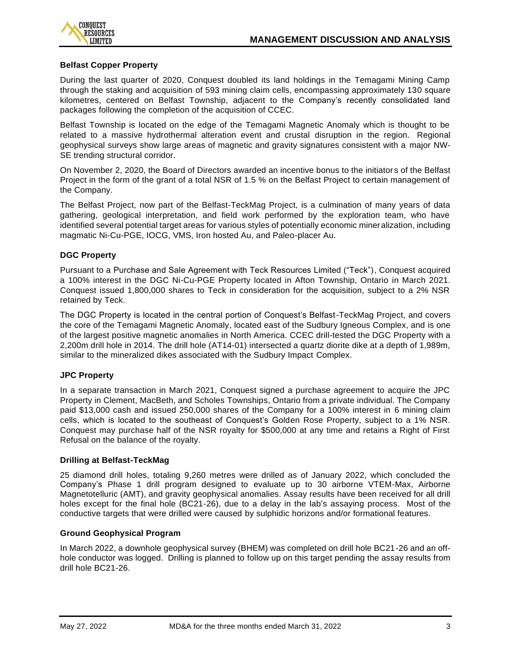

#### **Belfast Copper Property**

During the last quarter of 2020, Conquest doubled its land holdings in the Temagami Mining Camp through the staking and acquisition of 593 mining claim cells, encompassing approximately 130 square kilometres, centered on Belfast Township, adjacent to the Company's recently consolidated land packages following the completion of the acquisition of CCEC.

Belfast Township is located on the edge of the Temagami Magnetic Anomaly which is thought to be related to a massive hydrothermal alteration event and crustal disruption in the region. Regional geophysical surveys show large areas of magnetic and gravity signatures consistent with a major NW-SE trending structural corridor.

On November 2, 2020, the Board of Directors awarded an incentive bonus to the initiator s of the Belfast Project in the form of the grant of a total NSR of 1.5 % on the Belfast Project to certain management of the Company.

The Belfast Project, now part of the Belfast-TeckMag Project, is a culmination of many years of data gathering, geological interpretation, and field work performed by the exploration team, who have identified several potential target areas for various styles of potentially economic mineralization, including magmatic Ni-Cu-PGE, IOCG, VMS, Iron hosted Au, and Paleo-placer Au.

#### **DGC Property**

Pursuant to a Purchase and Sale Agreement with Teck Resources Limited ("Teck"), Conquest acquired a 100% interest in the DGC Ni-Cu-PGE Property located in Afton Township, Ontario in March 2021. Conquest issued 1,800,000 shares to Teck in consideration for the acquisition, subject to a 2% NSR retained by Teck.

The DGC Property is located in the central portion of Conquest's Belfast-TeckMag Project, and covers the core of the Temagami Magnetic Anomaly, located east of the Sudbury Igneous Complex, and is one of the largest positive magnetic anomalies in North America. CCEC drill-tested the DGC Property with a 2,200m drill hole in 2014. The drill hole (AT14-01) intersected a quartz diorite dike at a depth of 1,989m, similar to the mineralized dikes associated with the Sudbury Impact Complex.

#### **JPC Property**

In a separate transaction in March 2021, Conquest signed a purchase agreement to acquire the JPC Property in Clement, MacBeth, and Scholes Townships, Ontario from a private individual. The Company paid \$13,000 cash and issued 250,000 shares of the Company for a 100% interest in 6 mining claim cells, which is located to the southeast of Conquest's Golden Rose Property, subject to a 1% NSR. Conquest may purchase half of the NSR royalty for \$500,000 at any time and retains a Right of First Refusal on the balance of the royalty.

#### **Drilling at Belfast-TeckMag**

25 diamond drill holes, totaling 9,260 metres were drilled as of January 2022, which concluded the Company's Phase 1 drill program designed to evaluate up to 30 airborne VTEM-Max, Airborne Magnetotelluric (AMT), and gravity geophysical anomalies. Assay results have been received for all drill holes except for the final hole (BC21-26), due to a delay in the lab's assaying process. Most of the conductive targets that were drilled were caused by sulphidic horizons and/or formational features.

#### **Ground Geophysical Program**

In March 2022, a downhole geophysical survey (BHEM) was completed on drill hole BC21-26 and an offhole conductor was logged. Drilling is planned to follow up on this target pending the assay results from drill hole BC21-26.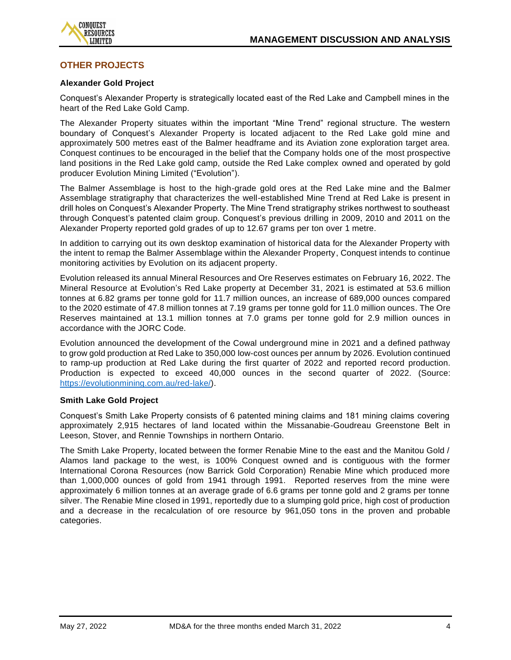

## **OTHER PROJECTS**

#### **Alexander Gold Project**

Conquest's Alexander Property is strategically located east of the Red Lake and Campbell mines in the heart of the Red Lake Gold Camp.

The Alexander Property situates within the important "Mine Trend" regional structure. The western boundary of Conquest's Alexander Property is located adjacent to the Red Lake gold mine and approximately 500 metres east of the Balmer headframe and its Aviation zone exploration target area. Conquest continues to be encouraged in the belief that the Company holds one of the most prospective land positions in the Red Lake gold camp, outside the Red Lake complex owned and operated by gold producer Evolution Mining Limited ("Evolution").

The Balmer Assemblage is host to the high-grade gold ores at the Red Lake mine and the Balmer Assemblage stratigraphy that characterizes the well-established Mine Trend at Red Lake is present in drill holes on Conquest's Alexander Property. The Mine Trend stratigraphy strikes northwest to southeast through Conquest's patented claim group. Conquest's previous drilling in 2009, 2010 and 2011 on the Alexander Property reported gold grades of up to 12.67 grams per ton over 1 metre.

In addition to carrying out its own desktop examination of historical data for the Alexander Property with the intent to remap the Balmer Assemblage within the Alexander Property, Conquest intends to continue monitoring activities by Evolution on its adjacent property.

Evolution released its annual Mineral Resources and Ore Reserves estimates on February 16, 2022. The Mineral Resource at Evolution's Red Lake property at December 31, 2021 is estimated at 53.6 million tonnes at 6.82 grams per tonne gold for 11.7 million ounces, an increase of 689,000 ounces compared to the 2020 estimate of 47.8 million tonnes at 7.19 grams per tonne gold for 11.0 million ounces. The Ore Reserves maintained at 13.1 million tonnes at 7.0 grams per tonne gold for 2.9 million ounces in accordance with the JORC Code.

Evolution announced the development of the Cowal underground mine in 2021 and a defined pathway to grow gold production at Red Lake to 350,000 low-cost ounces per annum by 2026. Evolution continued to ramp-up production at Red Lake during the first quarter of 2022 and reported record production. Production is expected to exceed 40,000 ounces in the second quarter of 2022. (Source: [https://evolutionmining.com.au/red-lake/\)](https://evolutionmining.com.au/red-lake/).

#### **Smith Lake Gold Project**

Conquest's Smith Lake Property consists of 6 patented mining claims and 181 mining claims covering approximately 2,915 hectares of land located within the Missanabie-Goudreau Greenstone Belt in Leeson, Stover, and Rennie Townships in northern Ontario.

The Smith Lake Property, located between the former Renabie Mine to the east and the Manitou Gold / Alamos land package to the west, is 100% Conquest owned and is contiguous with the former International Corona Resources (now Barrick Gold Corporation) Renabie Mine which produced more than 1,000,000 ounces of gold from 1941 through 1991. Reported reserves from the mine were approximately 6 million tonnes at an average grade of 6.6 grams per tonne gold and 2 grams per tonne silver. The Renabie Mine closed in 1991, reportedly due to a slumping gold price, high cost of production and a decrease in the recalculation of ore resource by 961,050 tons in the proven and probable categories.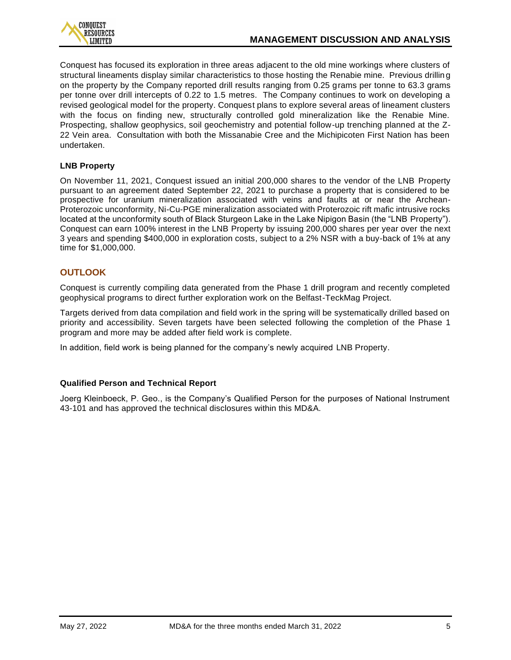

Conquest has focused its exploration in three areas adjacent to the old mine workings where clusters of structural lineaments display similar characteristics to those hosting the Renabie mine. Previous drilling on the property by the Company reported drill results ranging from 0.25 grams per tonne to 63.3 grams per tonne over drill intercepts of 0.22 to 1.5 metres. The Company continues to work on developing a revised geological model for the property. Conquest plans to explore several areas of lineament clusters with the focus on finding new, structurally controlled gold mineralization like the Renabie Mine. Prospecting, shallow geophysics, soil geochemistry and potential follow-up trenching planned at the Z-22 Vein area. Consultation with both the Missanabie Cree and the Michipicoten First Nation has been undertaken.

## **LNB Property**

On November 11, 2021, Conquest issued an initial 200,000 shares to the vendor of the LNB Property pursuant to an agreement dated September 22, 2021 to purchase a property that is considered to be prospective for uranium mineralization associated with veins and faults at or near the Archean-Proterozoic unconformity, Ni-Cu-PGE mineralization associated with Proterozoic rift mafic intrusive rocks located at the unconformity south of Black Sturgeon Lake in the Lake Nipigon Basin (the "LNB Property"). Conquest can earn 100% interest in the LNB Property by issuing 200,000 shares per year over the next 3 years and spending \$400,000 in exploration costs, subject to a 2% NSR with a buy-back of 1% at any time for \$1,000,000.

## **OUTLOOK**

Conquest is currently compiling data generated from the Phase 1 drill program and recently completed geophysical programs to direct further exploration work on the Belfast-TeckMag Project.

Targets derived from data compilation and field work in the spring will be systematically drilled based on priority and accessibility. Seven targets have been selected following the completion of the Phase 1 program and more may be added after field work is complete.

In addition, field work is being planned for the company's newly acquired LNB Property.

## **Qualified Person and Technical Report**

Joerg Kleinboeck, P. Geo., is the Company's Qualified Person for the purposes of National Instrument 43-101 and has approved the technical disclosures within this MD&A.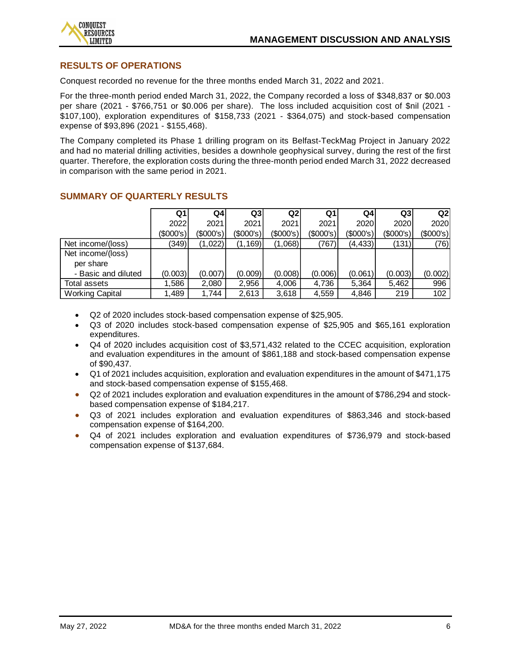

## **RESULTS OF OPERATIONS**

Conquest recorded no revenue for the three months ended March 31, 2022 and 2021.

For the three-month period ended March 31, 2022, the Company recorded a loss of \$348,837 or \$0.003 per share (2021 - \$766,751 or \$0.006 per share). The loss included acquisition cost of \$nil (2021 - \$107,100), exploration expenditures of \$158,733 (2021 - \$364,075) and stock-based compensation expense of \$93,896 (2021 - \$155,468).

The Company completed its Phase 1 drilling program on its Belfast-TeckMag Project in January 2022 and had no material drilling activities, besides a downhole geophysical survey, during the rest of the first quarter. Therefore, the exploration costs during the three-month period ended March 31, 2022 decreased in comparison with the same period in 2021.

|                        | Q1        | Q4        | Q3          | Q2          | Q1        | Q4        | Q3              | Q2        |
|------------------------|-----------|-----------|-------------|-------------|-----------|-----------|-----------------|-----------|
|                        | 2022      | 2021      | 2021        | 2021        | 2021      | 2020      | <b>2020</b>     | 2020      |
|                        | (\$000's) | (\$000's) | $(\$000's)$ | $(\$000's)$ | (\$000's) | (\$000's) | $($ \$000's $)$ | (\$000's) |
| Net income/(loss)      | (349)     | (1,022)   | (1, 169)    | (1,068)     | (767)     | (4, 433)  | (131)           | (76)      |
| Net income/(loss)      |           |           |             |             |           |           |                 |           |
| per share              |           |           |             |             |           |           |                 |           |
| - Basic and diluted    | (0.003)   | (0.007)   | (0.009)     | (0.008)     | (0.006)   | (0.061)   | (0.003)         | (0.002)   |
| Total assets           | .586      | 2,080     | 2,956       | 4,006       | 4,736     | 5,364     | 5,462           | 996       |
| <b>Working Capital</b> | .489      | 1.744     | 2,613       | 3,618       | 4,559     | 4,846     | 219             | 102       |

## **SUMMARY OF QUARTERLY RESULTS**

- Q2 of 2020 includes stock-based compensation expense of \$25,905.
- Q3 of 2020 includes stock-based compensation expense of \$25,905 and \$65,161 exploration expenditures.
- Q4 of 2020 includes acquisition cost of \$3,571,432 related to the CCEC acquisition, exploration and evaluation expenditures in the amount of \$861,188 and stock-based compensation expense of \$90,437.
- Q1 of 2021 includes acquisition, exploration and evaluation expenditures in the amount of \$471,175 and stock-based compensation expense of \$155,468.
- Q2 of 2021 includes exploration and evaluation expenditures in the amount of \$786,294 and stockbased compensation expense of \$184,217.
- Q3 of 2021 includes exploration and evaluation expenditures of \$863,346 and stock-based compensation expense of \$164,200.
- Q4 of 2021 includes exploration and evaluation expenditures of \$736,979 and stock-based compensation expense of \$137,684.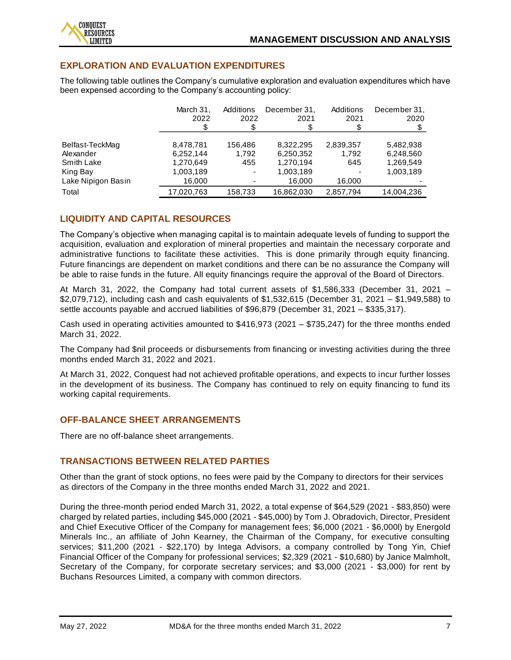## **EXPLORATION AND EVALUATION EXPENDITURES**

The following table outlines the Company's cumulative exploration and evaluation expenditures which have been expensed according to the Company's accounting policy:

|                    | March 31.  | Additions                | December 31. | Additions | December 31, |
|--------------------|------------|--------------------------|--------------|-----------|--------------|
|                    | 2022       | 2022                     | 2021         | 2021      | 2020         |
|                    |            |                          |              |           |              |
|                    |            |                          |              |           |              |
| Belfast-TeckMag    | 8,478,781  | 156.486                  | 8.322.295    | 2,839,357 | 5,482,938    |
| Alexander          | 6,252,144  | 1.792                    | 6,250,352    | 1,792     | 6,248,560    |
| <b>Smith Lake</b>  | 1,270,649  | 455                      | 1,270,194    | 645       | 1,269,549    |
| King Bay           | 1,003,189  | $\overline{\phantom{a}}$ | 1,003,189    |           | 1,003,189    |
| Lake Nipigon Basin | 16,000     |                          | 16,000       | 16,000    |              |
| Total              | 17,020,763 | 158,733                  | 16,862,030   | 2,857,794 | 14,004,236   |

## **LIQUIDITY AND CAPITAL RESOURCES**

The Company's objective when managing capital is to maintain adequate levels of funding to support the acquisition, evaluation and exploration of mineral properties and maintain the necessary corporate and administrative functions to facilitate these activities. This is done primarily through equity financing. Future financings are dependent on market conditions and there can be no assurance the Company will be able to raise funds in the future. All equity financings require the approval of the Board of Directors.

At March 31, 2022, the Company had total current assets of \$1,586,333 (December 31, 2021 – \$2,079,712), including cash and cash equivalents of \$1,532,615 (December 31, 2021 – \$1,949,588) to settle accounts payable and accrued liabilities of \$96,879 (December 31, 2021 – \$335,317).

Cash used in operating activities amounted to \$416,973 (2021 – \$735,247) for the three months ended March 31, 2022.

The Company had \$nil proceeds or disbursements from financing or investing activities during the three months ended March 31, 2022 and 2021.

At March 31, 2022, Conquest had not achieved profitable operations, and expects to incur further losses in the development of its business. The Company has continued to rely on equity financing to fund its working capital requirements.

## **OFF-BALANCE SHEET ARRANGEMENTS**

There are no off-balance sheet arrangements.

## **TRANSACTIONS BETWEEN RELATED PARTIES**

Other than the grant of stock options, no fees were paid by the Company to directors for their services as directors of the Company in the three months ended March 31, 2022 and 2021.

During the three-month period ended March 31, 2022, a total expense of \$64,529 (2021 - \$83,850) were charged by related parties, including \$45,000 (2021 - \$45,000) by Tom J. Obradovich, Director, President and Chief Executive Officer of the Company for management fees; \$6,000 (2021 - \$6,000l) by Energold Minerals Inc., an affiliate of John Kearney, the Chairman of the Company, for executive consulting services; \$11,200 (2021 - \$22,170) by Intega Advisors, a company controlled by Tong Yin, Chief Financial Officer of the Company for professional services; \$2,329 (2021 - \$10,680) by Janice Malmholt, Secretary of the Company, for corporate secretary services; and \$3,000 (2021 - \$3,000) for rent by Buchans Resources Limited, a company with common directors.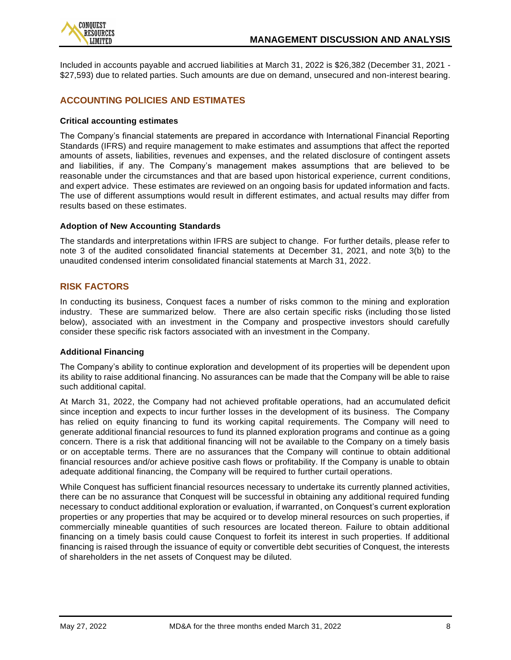

Included in accounts payable and accrued liabilities at March 31, 2022 is \$26,382 (December 31, 2021 - \$27,593) due to related parties. Such amounts are due on demand, unsecured and non-interest bearing.

## **ACCOUNTING POLICIES AND ESTIMATES**

#### **Critical accounting estimates**

The Company's financial statements are prepared in accordance with International Financial Reporting Standards (IFRS) and require management to make estimates and assumptions that affect the reported amounts of assets, liabilities, revenues and expenses, and the related disclosure of contingent assets and liabilities, if any. The Company's management makes assumptions that are believed to be reasonable under the circumstances and that are based upon historical experience, current conditions, and expert advice. These estimates are reviewed on an ongoing basis for updated information and facts. The use of different assumptions would result in different estimates, and actual results may differ from results based on these estimates.

#### **Adoption of New Accounting Standards**

The standards and interpretations within IFRS are subject to change. For further details, please refer to note 3 of the audited consolidated financial statements at December 31, 2021, and note 3(b) to the unaudited condensed interim consolidated financial statements at March 31, 2022.

## **RISK FACTORS**

In conducting its business, Conquest faces a number of risks common to the mining and exploration industry. These are summarized below. There are also certain specific risks (including those listed below), associated with an investment in the Company and prospective investors should carefully consider these specific risk factors associated with an investment in the Company.

#### **Additional Financing**

The Company's ability to continue exploration and development of its properties will be dependent upon its ability to raise additional financing. No assurances can be made that the Company will be able to raise such additional capital.

At March 31, 2022, the Company had not achieved profitable operations, had an accumulated deficit since inception and expects to incur further losses in the development of its business. The Company has relied on equity financing to fund its working capital requirements. The Company will need to generate additional financial resources to fund its planned exploration programs and continue as a going concern. There is a risk that additional financing will not be available to the Company on a timely basis or on acceptable terms. There are no assurances that the Company will continue to obtain additional financial resources and/or achieve positive cash flows or profitability. If the Company is unable to obtain adequate additional financing, the Company will be required to further curtail operations.

While Conquest has sufficient financial resources necessary to undertake its currently planned activities, there can be no assurance that Conquest will be successful in obtaining any additional required funding necessary to conduct additional exploration or evaluation, if warranted, on Conquest's current exploration properties or any properties that may be acquired or to develop mineral resources on such properties, if commercially mineable quantities of such resources are located thereon. Failure to obtain additional financing on a timely basis could cause Conquest to forfeit its interest in such properties. If additional financing is raised through the issuance of equity or convertible debt securities of Conquest, the interests of shareholders in the net assets of Conquest may be diluted.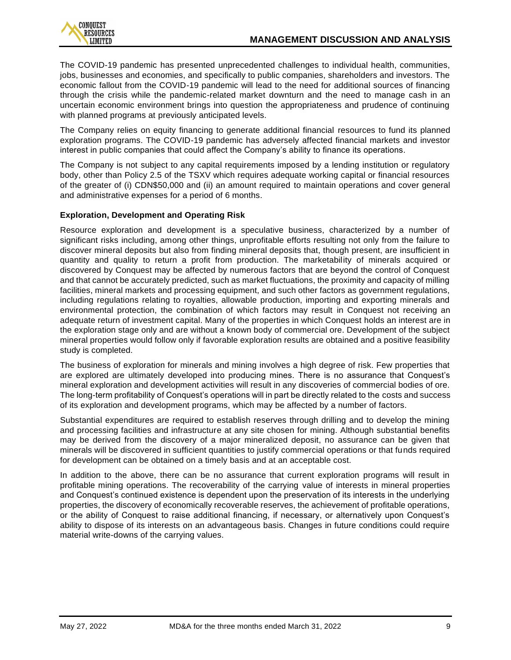The COVID-19 pandemic has presented unprecedented challenges to individual health, communities, jobs, businesses and economies, and specifically to public companies, shareholders and investors. The economic fallout from the COVID-19 pandemic will lead to the need for additional sources of financing through the crisis while the pandemic-related market downturn and the need to manage cash in an uncertain economic environment brings into question the appropriateness and prudence of continuing with planned programs at previously anticipated levels.

The Company relies on equity financing to generate additional financial resources to fund its planned exploration programs. The COVID-19 pandemic has adversely affected financial markets and investor interest in public companies that could affect the Company's ability to finance its operations.

The Company is not subject to any capital requirements imposed by a lending institution or regulatory body, other than Policy 2.5 of the TSXV which requires adequate working capital or financial resources of the greater of (i) CDN\$50,000 and (ii) an amount required to maintain operations and cover general and administrative expenses for a period of 6 months.

## **Exploration, Development and Operating Risk**

Resource exploration and development is a speculative business, characterized by a number of significant risks including, among other things, unprofitable efforts resulting not only from the failure to discover mineral deposits but also from finding mineral deposits that, though present, are insufficient in quantity and quality to return a profit from production. The marketability of minerals acquired or discovered by Conquest may be affected by numerous factors that are beyond the control of Conquest and that cannot be accurately predicted, such as market fluctuations, the proximity and capacity of milling facilities, mineral markets and processing equipment, and such other factors as government regulations, including regulations relating to royalties, allowable production, importing and exporting minerals and environmental protection, the combination of which factors may result in Conquest not receiving an adequate return of investment capital. Many of the properties in which Conquest holds an interest are in the exploration stage only and are without a known body of commercial ore. Development of the subject mineral properties would follow only if favorable exploration results are obtained and a positive feasibility study is completed.

The business of exploration for minerals and mining involves a high degree of risk. Few properties that are explored are ultimately developed into producing mines. There is no assurance that Conquest's mineral exploration and development activities will result in any discoveries of commercial bodies of ore. The long-term profitability of Conquest's operations will in part be directly related to the costs and success of its exploration and development programs, which may be affected by a number of factors.

Substantial expenditures are required to establish reserves through drilling and to develop the mining and processing facilities and infrastructure at any site chosen for mining. Although substantial benefits may be derived from the discovery of a major mineralized deposit, no assurance can be given that minerals will be discovered in sufficient quantities to justify commercial operations or that funds required for development can be obtained on a timely basis and at an acceptable cost.

In addition to the above, there can be no assurance that current exploration programs will result in profitable mining operations. The recoverability of the carrying value of interests in mineral properties and Conquest's continued existence is dependent upon the preservation of its interests in the underlying properties, the discovery of economically recoverable reserves, the achievement of profitable operations, or the ability of Conquest to raise additional financing, if necessary, or alternatively upon Conquest's ability to dispose of its interests on an advantageous basis. Changes in future conditions could require material write-downs of the carrying values.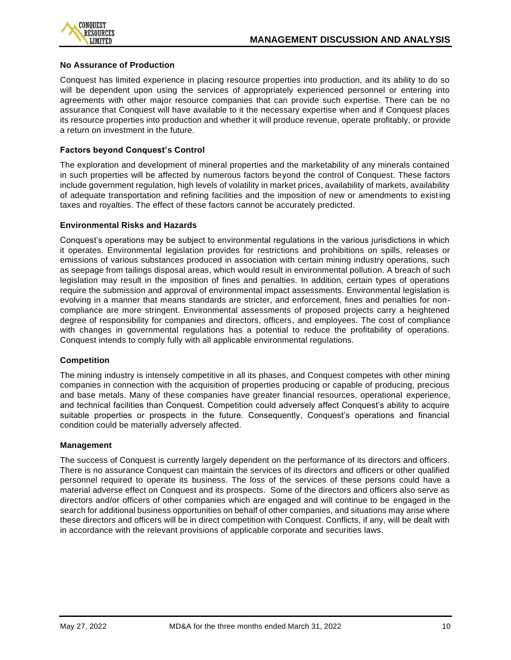

#### **No Assurance of Production**

Conquest has limited experience in placing resource properties into production, and its ability to do so will be dependent upon using the services of appropriately experienced personnel or entering into agreements with other major resource companies that can provide such expertise. There can be no assurance that Conquest will have available to it the necessary expertise when and if Conquest places its resource properties into production and whether it will produce revenue, operate profitably, or provide a return on investment in the future.

#### **Factors beyond Conquest's Control**

The exploration and development of mineral properties and the marketability of any minerals contained in such properties will be affected by numerous factors beyond the control of Conquest. These factors include government regulation, high levels of volatility in market prices, availability of markets, availability of adequate transportation and refining facilities and the imposition of new or amendments to exist ing taxes and royalties. The effect of these factors cannot be accurately predicted.

#### **Environmental Risks and Hazards**

Conquest's operations may be subject to environmental regulations in the various jurisdictions in which it operates. Environmental legislation provides for restrictions and prohibitions on spills, releases or emissions of various substances produced in association with certain mining industry operations, such as seepage from tailings disposal areas, which would result in environmental pollution. A breach of such legislation may result in the imposition of fines and penalties. In addition, certain types of operations require the submission and approval of environmental impact assessments. Environmental legislation is evolving in a manner that means standards are stricter, and enforcement, fines and penalties for noncompliance are more stringent. Environmental assessments of proposed projects carry a heightened degree of responsibility for companies and directors, officers, and employees. The cost of compliance with changes in governmental regulations has a potential to reduce the profitability of operations. Conquest intends to comply fully with all applicable environmental regulations.

#### **Competition**

The mining industry is intensely competitive in all its phases, and Conquest competes with other mining companies in connection with the acquisition of properties producing or capable of producing, precious and base metals. Many of these companies have greater financial resources, operational experience, and technical facilities than Conquest. Competition could adversely affect Conquest's ability to acquire suitable properties or prospects in the future. Consequently, Conquest's operations and financial condition could be materially adversely affected.

#### **Management**

The success of Conquest is currently largely dependent on the performance of its directors and officers. There is no assurance Conquest can maintain the services of its directors and officers or other qualified personnel required to operate its business. The loss of the services of these persons could have a material adverse effect on Conquest and its prospects. Some of the directors and officers also serve as directors and/or officers of other companies which are engaged and will continue to be engaged in the search for additional business opportunities on behalf of other companies, and situations may arise where these directors and officers will be in direct competition with Conquest. Conflicts, if any, will be dealt with in accordance with the relevant provisions of applicable corporate and securities laws.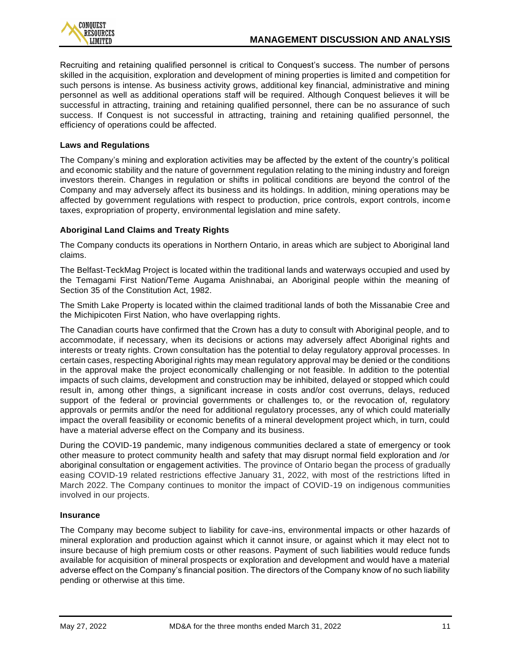

Recruiting and retaining qualified personnel is critical to Conquest's success. The number of persons skilled in the acquisition, exploration and development of mining properties is limited and competition for such persons is intense. As business activity grows, additional key financial, administrative and mining personnel as well as additional operations staff will be required. Although Conquest believes it will be successful in attracting, training and retaining qualified personnel, there can be no assurance of such success. If Conquest is not successful in attracting, training and retaining qualified personnel, the efficiency of operations could be affected.

#### **Laws and Regulations**

The Company's mining and exploration activities may be affected by the extent of the country's political and economic stability and the nature of government regulation relating to the mining industry and foreign investors therein. Changes in regulation or shifts in political conditions are beyond the control of the Company and may adversely affect its business and its holdings. In addition, mining operations may be affected by government regulations with respect to production, price controls, export controls, income taxes, expropriation of property, environmental legislation and mine safety.

#### **Aboriginal Land Claims and Treaty Rights**

The Company conducts its operations in Northern Ontario, in areas which are subject to Aboriginal land claims.

The Belfast-TeckMag Project is located within the traditional lands and waterways occupied and used by the Temagami First Nation/Teme Augama Anishnabai, an Aboriginal people within the meaning of Section 35 of the Constitution Act, 1982.

The Smith Lake Property is located within the claimed traditional lands of both the Missanabie Cree and the Michipicoten First Nation, who have overlapping rights.

The Canadian courts have confirmed that the Crown has a duty to consult with Aboriginal people, and to accommodate, if necessary, when its decisions or actions may adversely affect Aboriginal rights and interests or treaty rights. Crown consultation has the potential to delay regulatory approval processes. In certain cases, respecting Aboriginal rights may mean regulatory approval may be denied or the conditions in the approval make the project economically challenging or not feasible. In addition to the potential impacts of such claims, development and construction may be inhibited, delayed or stopped which could result in, among other things, a significant increase in costs and/or cost overruns, delays, reduced support of the federal or provincial governments or challenges to, or the revocation of, regulatory approvals or permits and/or the need for additional regulatory processes, any of which could materially impact the overall feasibility or economic benefits of a mineral development project which, in turn, could have a material adverse effect on the Company and its business.

During the COVID-19 pandemic, many indigenous communities declared a state of emergency or took other measure to protect community health and safety that may disrupt normal field exploration and /or aboriginal consultation or engagement activities. The province of Ontario began the process of gradually easing COVID-19 related restrictions effective January 31, 2022, with most of the restrictions lifted in March 2022. The Company continues to monitor the impact of COVID-19 on indigenous communities involved in our projects.

#### **Insurance**

The Company may become subject to liability for cave-ins, environmental impacts or other hazards of mineral exploration and production against which it cannot insure, or against which it may elect not to insure because of high premium costs or other reasons. Payment of such liabilities would reduce funds available for acquisition of mineral prospects or exploration and development and would have a material adverse effect on the Company's financial position. The directors of the Company know of no such liability pending or otherwise at this time.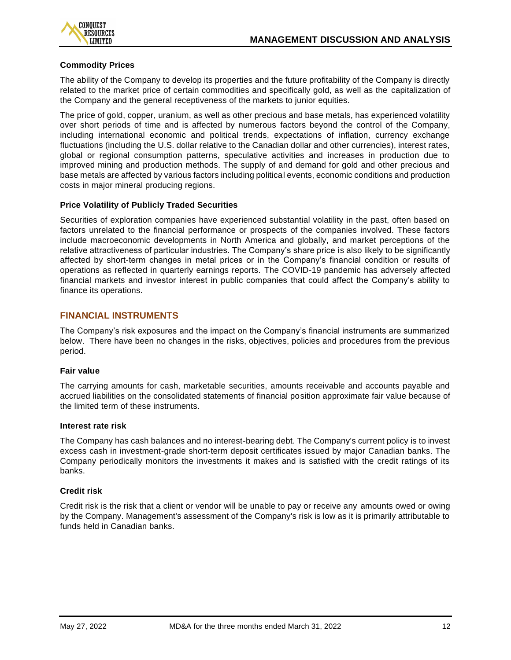

#### **Commodity Prices**

The ability of the Company to develop its properties and the future profitability of the Company is directly related to the market price of certain commodities and specifically gold, as well as the capitalization of the Company and the general receptiveness of the markets to junior equities.

The price of gold, copper, uranium, as well as other precious and base metals, has experienced volatility over short periods of time and is affected by numerous factors beyond the control of the Company, including international economic and political trends, expectations of inflation, currency exchange fluctuations (including the U.S. dollar relative to the Canadian dollar and other currencies), interest rates, global or regional consumption patterns, speculative activities and increases in production due to improved mining and production methods. The supply of and demand for gold and other precious and base metals are affected by various factors including political events, economic conditions and production costs in major mineral producing regions.

#### **Price Volatility of Publicly Traded Securities**

Securities of exploration companies have experienced substantial volatility in the past, often based on factors unrelated to the financial performance or prospects of the companies involved. These factors include macroeconomic developments in North America and globally, and market perceptions of the relative attractiveness of particular industries. The Company's share price is also likely to be significantly affected by short-term changes in metal prices or in the Company's financial condition or results of operations as reflected in quarterly earnings reports. The COVID-19 pandemic has adversely affected financial markets and investor interest in public companies that could affect the Company's ability to finance its operations.

## **FINANCIAL INSTRUMENTS**

The Company's risk exposures and the impact on the Company's financial instruments are summarized below. There have been no changes in the risks, objectives, policies and procedures from the previous period.

## **Fair value**

The carrying amounts for cash, marketable securities, amounts receivable and accounts payable and accrued liabilities on the consolidated statements of financial position approximate fair value because of the limited term of these instruments.

#### **Interest rate risk**

The Company has cash balances and no interest-bearing debt. The Company's current policy is to invest excess cash in investment-grade short-term deposit certificates issued by major Canadian banks. The Company periodically monitors the investments it makes and is satisfied with the credit ratings of its banks.

#### **Credit risk**

Credit risk is the risk that a client or vendor will be unable to pay or receive any amounts owed or owing by the Company. Management's assessment of the Company's risk is low as it is primarily attributable to funds held in Canadian banks.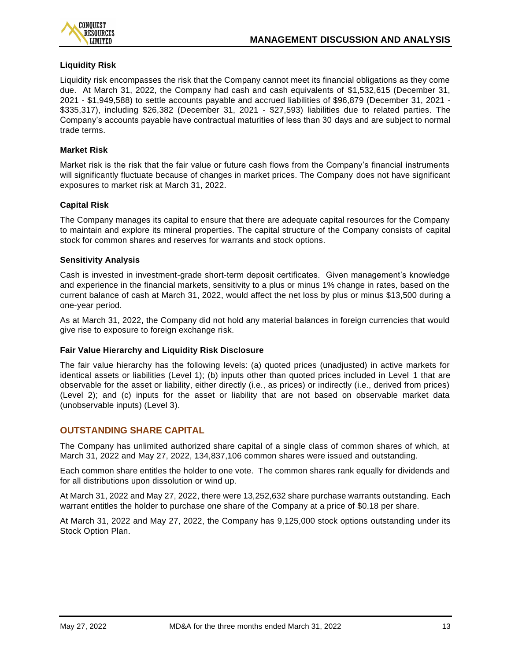

#### **Liquidity Risk**

Liquidity risk encompasses the risk that the Company cannot meet its financial obligations as they come due. At March 31, 2022, the Company had cash and cash equivalents of \$1,532,615 (December 31, 2021 - \$1,949,588) to settle accounts payable and accrued liabilities of \$96,879 (December 31, 2021 - \$335,317), including \$26,382 (December 31, 2021 - \$27,593) liabilities due to related parties. The Company's accounts payable have contractual maturities of less than 30 days and are subject to normal trade terms.

#### **Market Risk**

Market risk is the risk that the fair value or future cash flows from the Company's financial instruments will significantly fluctuate because of changes in market prices. The Company does not have significant exposures to market risk at March 31, 2022.

#### **Capital Risk**

The Company manages its capital to ensure that there are adequate capital resources for the Company to maintain and explore its mineral properties. The capital structure of the Company consists of capital stock for common shares and reserves for warrants and stock options.

#### **Sensitivity Analysis**

Cash is invested in investment-grade short-term deposit certificates. Given management's knowledge and experience in the financial markets, sensitivity to a plus or minus 1% change in rates, based on the current balance of cash at March 31, 2022, would affect the net loss by plus or minus \$13,500 during a one-year period.

As at March 31, 2022, the Company did not hold any material balances in foreign currencies that would give rise to exposure to foreign exchange risk.

#### **Fair Value Hierarchy and Liquidity Risk Disclosure**

The fair value hierarchy has the following levels: (a) quoted prices (unadjusted) in active markets for identical assets or liabilities (Level 1); (b) inputs other than quoted prices included in Level 1 that are observable for the asset or liability, either directly (i.e., as prices) or indirectly (i.e., derived from prices) (Level 2); and (c) inputs for the asset or liability that are not based on observable market data (unobservable inputs) (Level 3).

## **OUTSTANDING SHARE CAPITAL**

The Company has unlimited authorized share capital of a single class of common shares of which, at March 31, 2022 and May 27, 2022, 134,837,106 common shares were issued and outstanding.

Each common share entitles the holder to one vote. The common shares rank equally for dividends and for all distributions upon dissolution or wind up.

At March 31, 2022 and May 27, 2022, there were 13,252,632 share purchase warrants outstanding. Each warrant entitles the holder to purchase one share of the Company at a price of \$0.18 per share.

At March 31, 2022 and May 27, 2022, the Company has 9,125,000 stock options outstanding under its Stock Option Plan.